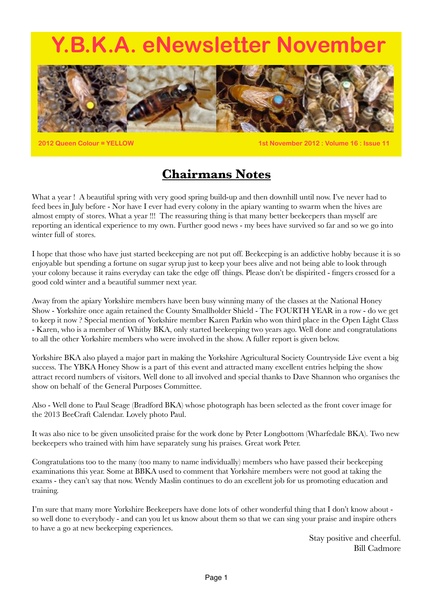# <span id="page-0-0"></span>**B.K.A. eNewsletter November**



**2012 Queen Colour = YELLOW 1st November 2012 : Volume 16 : Issue 11**

## **Chairmans Notes**

What a year ! A beautiful spring with very good spring build-up and then downhill until now. I've never had to feed bees in July before - Nor have I ever had every colony in the apiary wanting to swarm when the hives are almost empty of stores. What a year !!! The reassuring thing is that many better beekeepers than myself are reporting an identical experience to my own. Further good news - my bees have survived so far and so we go into winter full of stores.

I hope that those who have just started beekeeping are not put off. Beekeeping is an addictive hobby because it is so enjoyable but spending a fortune on sugar syrup just to keep your bees alive and not being able to look through your colony because it rains everyday can take the edge off things. Please don't be dispirited - fingers crossed for a good cold winter and a beautiful summer next year.

Away from the apiary Yorkshire members have been busy winning many of the classes at the National Honey Show - Yorkshire once again retained the County Smallholder Shield - The FOURTH YEAR in a row - do we get to keep it now ? Special mention of Yorkshire member Karen Parkin who won third place in the Open Light Class - Karen, who is a member of Whitby BKA, only started beekeeping two years ago. Well done and congratulations to all the other Yorkshire members who were involved in the show. A fuller report is given below.

Yorkshire BKA also played a major part in making the Yorkshire Agricultural Society Countryside Live event a big success. The YBKA Honey Show is a part of this event and attracted many excellent entries helping the show attract record numbers of visitors. Well done to all involved and special thanks to Dave Shannon who organises the show on behalf of the General Purposes Committee.

Also - Well done to Paul Seage (Bradford BKA) whose photograph has been selected as the front cover image for the 2013 BeeCraft Calendar. Lovely photo Paul.

It was also nice to be given unsolicited praise for the work done by Peter Longbottom (Wharfedale BKA). Two new beekeepers who trained with him have separately sung his praises. Great work Peter.

Congratulations too to the many (too many to name individually) members who have passed their beekeeping examinations this year. Some at BBKA used to comment that Yorkshire members were not good at taking the exams - they can't say that now. Wendy Maslin continues to do an excellent job for us promoting education and training.

I'm sure that many more Yorkshire Beekeepers have done lots of other wonderful thing that I don't know about so well done to everybody - and can you let us know about them so that we can sing your praise and inspire others to have a go at new beekeeping experiences.

> Stay positive and cheerful. Bill Cadmore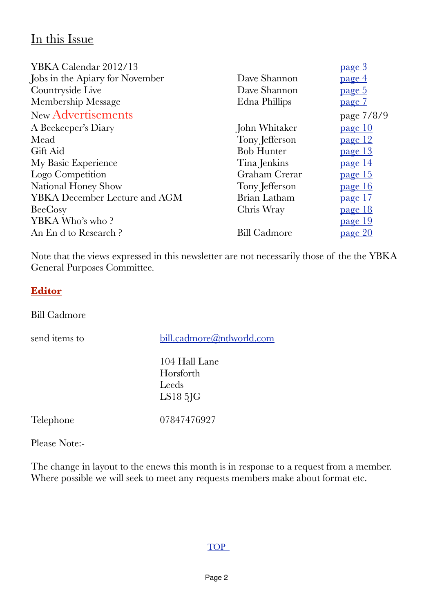## In this Issue

| YBKA Calendar 2012/13                |                     | <u>page 3</u>  |
|--------------------------------------|---------------------|----------------|
| Jobs in the Apiary for November      | Dave Shannon        | page 4         |
| Countryside Live                     | Dave Shannon        | page 5         |
| Membership Message                   | Edna Phillips       | <u>page 7</u>  |
| New Advertisements                   |                     | page 7/8/9     |
| A Beekeeper's Diary                  | John Whitaker       | page 10        |
| Mead                                 | Tony Jefferson      | <u>page 12</u> |
| Gift Aid                             | <b>Bob Hunter</b>   | page 13        |
| My Basic Experience                  | Tina Jenkins        | page 14        |
| Logo Competition                     | Graham Crerar       | <u>page 15</u> |
| National Honey Show                  | Tony Jefferson      | page 16        |
| <b>YBKA</b> December Lecture and AGM | Brian Latham        | page 17        |
| BeeCosy                              | Chris Wray          | page 18        |
| YBKA Who's who?                      |                     | <u>page</u> 19 |
| An End to Research?                  | <b>Bill Cadmore</b> | page 20        |
|                                      |                     |                |

Note that the views expressed in this newsletter are not necessarily those of the the YBKA General Purposes Committee.

## **Editor**

Bill Cadmore

send items to [bill.cadmore@ntlworld.com](mailto:bill.cadmore@ntlworld.com) 104 Hall Lane Horsforth Leeds LS18 5JG Telephone 07847476927 Please Note:-

The change in layout to the enews this month is in response to a request from a member. Where possible we will seek to meet any requests members make about format etc.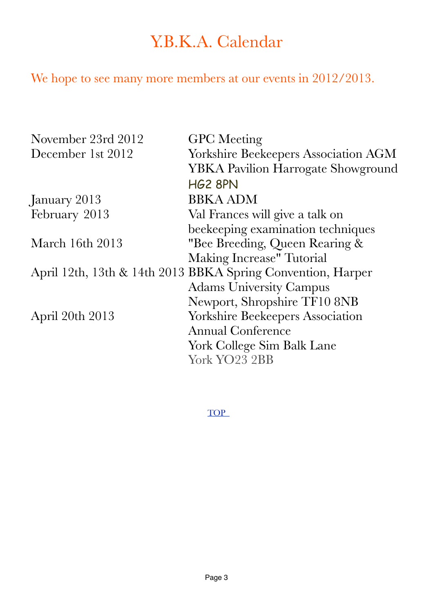# <span id="page-2-0"></span>Y.B.K.A. Calendar

We hope to see many more members at our events in 2012/2013.

| November 23rd 2012 | <b>GPC</b> Meeting                                          |
|--------------------|-------------------------------------------------------------|
| December 1st 2012  | <b>Yorkshire Beekeepers Association AGM</b>                 |
|                    | <b>YBKA Pavilion Harrogate Showground</b>                   |
|                    | <b>HG2 8PN</b>                                              |
| January 2013       | <b>BBKA ADM</b>                                             |
| February 2013      | Val Frances will give a talk on                             |
|                    | beekeeping examination techniques                           |
| March 16th 2013    | "Bee Breeding, Queen Rearing &                              |
|                    | Making Increase" Tutorial                                   |
|                    | April 12th, 13th & 14th 2013 BBKA Spring Convention, Harper |
|                    | <b>Adams University Campus</b>                              |
|                    | Newport, Shropshire TF10 8NB                                |
| April 20th 2013    | <b>Yorkshire Beekeepers Association</b>                     |
|                    | <b>Annual Conference</b>                                    |
|                    | York College Sim Balk Lane                                  |
|                    | York YO23 2BB                                               |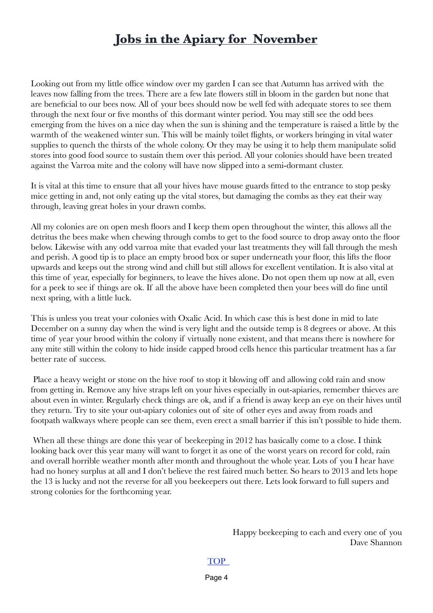## <span id="page-3-0"></span>**Jobs in the Apiary for November**

Looking out from my little office window over my garden I can see that Autumn has arrived with the leaves now falling from the trees. There are a few late flowers still in bloom in the garden but none that are beneficial to our bees now. All of your bees should now be well fed with adequate stores to see them through the next four or five months of this dormant winter period. You may still see the odd bees emerging from the hives on a nice day when the sun is shining and the temperature is raised a little by the warmth of the weakened winter sun. This will be mainly toilet flights, or workers bringing in vital water supplies to quench the thirsts of the whole colony. Or they may be using it to help them manipulate solid stores into good food source to sustain them over this period. All your colonies should have been treated against the Varroa mite and the colony will have now slipped into a semi-dormant cluster.

It is vital at this time to ensure that all your hives have mouse guards fitted to the entrance to stop pesky mice getting in and, not only eating up the vital stores, but damaging the combs as they eat their way through, leaving great holes in your drawn combs.

All my colonies are on open mesh floors and I keep them open throughout the winter, this allows all the detritus the bees make when chewing through combs to get to the food source to drop away onto the floor below. Likewise with any odd varroa mite that evaded your last treatments they will fall through the mesh and perish. A good tip is to place an empty brood box or super underneath your floor, this lifts the floor upwards and keeps out the strong wind and chill but still allows for excellent ventilation. It is also vital at this time of year, especially for beginners, to leave the hives alone. Do not open them up now at all, even for a peek to see if things are ok. If all the above have been completed then your bees will do fine until next spring, with a little luck.

This is unless you treat your colonies with Oxalic Acid. In which case this is best done in mid to late December on a sunny day when the wind is very light and the outside temp is 8 degrees or above. At this time of year your brood within the colony if virtually none existent, and that means there is nowhere for any mite still within the colony to hide inside capped brood cells hence this particular treatment has a far better rate of success.

 Place a heavy weight or stone on the hive roof to stop it blowing off and allowing cold rain and snow from getting in. Remove any hive straps left on your hives especially in out-apiaries, remember thieves are about even in winter. Regularly check things are ok, and if a friend is away keep an eye on their hives until they return. Try to site your out-apiary colonies out of site of other eyes and away from roads and footpath walkways where people can see them, even erect a small barrier if this isn't possible to hide them.

When all these things are done this year of beekeeping in 2012 has basically come to a close. I think looking back over this year many will want to forget it as one of the worst years on record for cold, rain and overall horrible weather month after month and throughout the whole year. Lots of you I hear have had no honey surplus at all and I don't believe the rest faired much better. So hears to 2013 and lets hope the 13 is lucky and not the reverse for all you beekeepers out there. Lets look forward to full supers and strong colonies for the forthcoming year.

> Happy beekeeping to each and every one of you Dave Shannon

#### [TOP](#page-0-0)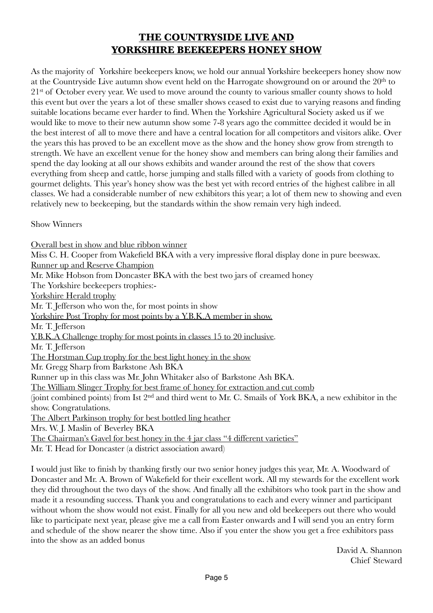## <span id="page-4-0"></span>**THE COUNTRYSIDE LIVE AND YORKSHIRE BEEKEEPERS HONEY SHOW**

As the majority of Yorkshire beekeepers know, we hold our annual Yorkshire beekeepers honey show now at the Countryside Live autumn show event held on the Harrogate showground on or around the 20<sup>th</sup> to 2<sup>1st</sup> of October every year. We used to move around the county to various smaller county shows to hold this event but over the years a lot of these smaller shows ceased to exist due to varying reasons and finding suitable locations became ever harder to find. When the Yorkshire Agricultural Society asked us if we would like to move to their new autumn show some 7-8 years ago the committee decided it would be in the best interest of all to move there and have a central location for all competitors and visitors alike. Over the years this has proved to be an excellent move as the show and the honey show grow from strength to strength. We have an excellent venue for the honey show and members can bring along their families and spend the day looking at all our shows exhibits and wander around the rest of the show that covers everything from sheep and cattle, horse jumping and stalls filled with a variety of goods from clothing to gourmet delights. This year's honey show was the best yet with record entries of the highest calibre in all classes. We had a considerable number of new exhibitors this year; a lot of them new to showing and even relatively new to beekeeping, but the standards within the show remain very high indeed.

Show Winners

Overall best in show and blue ribbon winner Miss C. H. Cooper from Wakefield BKA with a very impressive floral display done in pure beeswax. Runner up and Reserve Champion Mr. Mike Hobson from Doncaster BKA with the best two jars of creamed honey The Yorkshire beekeepers trophies:- Yorkshire Herald trophy Mr. T. Jefferson who won the, for most points in show Yorkshire Post Trophy for most points by a Y.B.K.A member in show. Mr. T. Jefferson Y.B.K.A Challenge trophy for most points in classes 15 to 20 inclusive. Mr. T. Jefferson The Horstman Cup trophy for the best light honey in the show Mr. Gregg Sharp from Barkstone Ash BKA Runner up in this class was Mr. John Whitaker also of Barkstone Ash BKA. The William Slinger Trophy for best frame of honey for extraction and cut comb (joint combined points) from Ist 2nd and third went to Mr. C. Smails of York BKA, a new exhibitor in the show. Congratulations. The Albert Parkinson trophy for best bottled ling heather Mrs. W. J. Maslin of Beverley BKA The Chairman's Gavel for best honey in the 4 jar class "4 different varieties" Mr. T. Head for Doncaster (a district association award)

I would just like to finish by thanking firstly our two senior honey judges this year, Mr. A. Woodward of Doncaster and Mr. A. Brown of Wakefield for their excellent work. All my stewards for the excellent work they did throughout the two days of the show. And finally all the exhibitors who took part in the show and made it a resounding success. Thank you and congratulations to each and every winner and participant without whom the show would not exist. Finally for all you new and old beekeepers out there who would like to participate next year, please give me a call from Easter onwards and I will send you an entry form and schedule of the show nearer the show time. Also if you enter the show you get a free exhibitors pass into the show as an added bonus

> David A. Shannon Chief Steward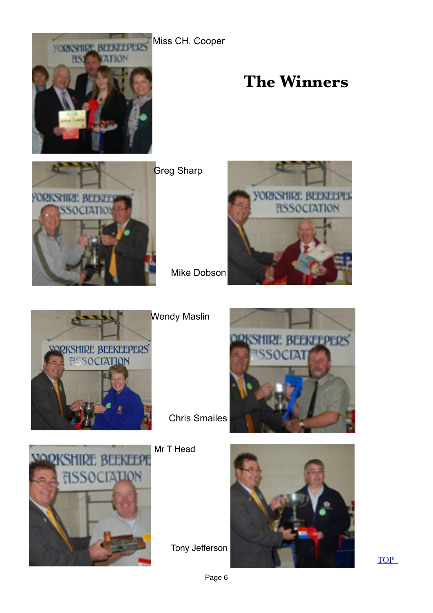Miss CH. Cooper



# **The Winners**



**Greg Sharp** 



**EKEEPERS** 



VODI

Wendy Maslin

Chris Smailes

Mr T Head

TION

Tony Jefferson



[TOP](#page-0-0)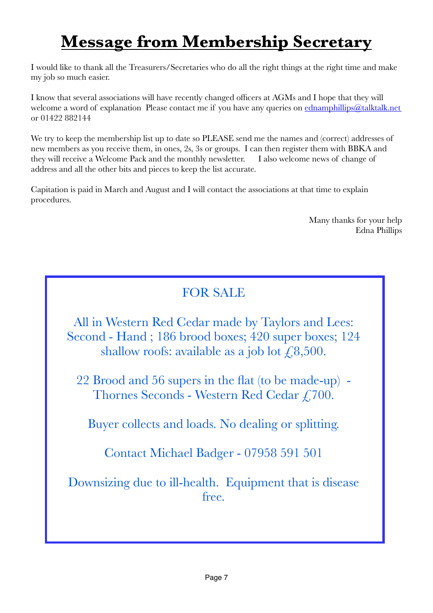# <span id="page-6-0"></span>**Message from Membership Secretary**

I would like to thank all the Treasurers/Secretaries who do all the right things at the right time and make my job so much easier.

I know that several associations will have recently changed officers at AGMs and I hope that they will welcome a word of explanation Please contact me if you have any queries on [ednamphillips@talktalk.net](mailto:ednamphillips@talktalk.net) or 01422 882144

We try to keep the membership list up to date so PLEASE send me the names and (correct) addresses of new members as you receive them, in ones, 2s, 3s or groups. I can then register them with BBKA and they will receive a Welcome Pack and the monthly newsletter. I also welcome news of change of address and all the other bits and pieces to keep the list accurate.

Capitation is paid in March and August and I will contact the associations at that time to explain procedures.

> Many thanks for your help Edna Phillips

## FOR SALE

All in Western Red Cedar made by Taylors and Lees: Second - Hand ; 186 brood boxes; 420 super boxes; 124 shallow roofs: available as a job lot  $\text{\textsterling}8,500$ .

22 Brood and 56 supers in the flat (to be made-up) - Thornes Seconds - Western Red Cedar £700.

Buyer collects and loads. No dealing or splitting.

Contact Michael Badger - 07958 591 501

Downsizing due to ill-health. Equipment that is disease free.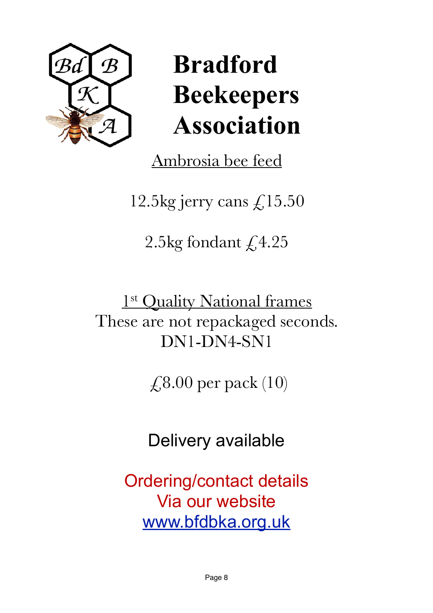

# **Bradford Beekeepers Association**

Ambrosia bee feed

12.5kg jerry cans  $\mathcal{L}$ 15.50

2.5kg fondant  $\sqrt{4.25}$ 

1st Quality National frames These are not repackaged seconds. DN1-DN4-SN1

 $\angle$  (8.00 per pack (10)

Delivery available

Ordering/contact details Via our website [www.bfdbka.org.uk](http://www.bfdbka.org.uk)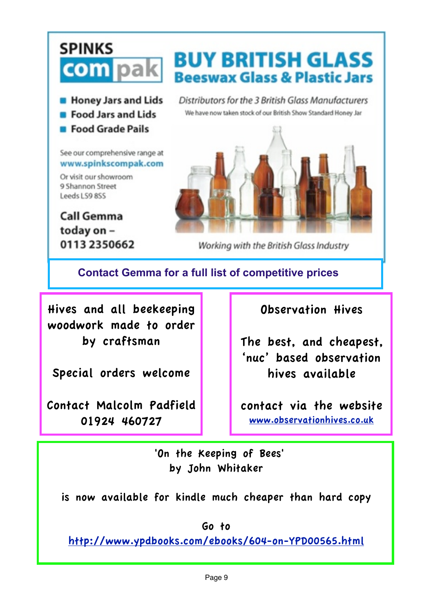## **SPINKS BUY BRITISH GLASS** com pak **Beeswax Glass & Plastic Jars B** Honey Jars and Lids Distributors for the 3 British Glass Manufacturers We have now taken stock of our British Show Standard Honey Jar

- 
- **E** Food Jars and Lids
- **E** Food Grade Pails

See our comprehensive range at www.spinkscompak.com

Or visit our showroom 9 Shannon Street Leeds LS9 8SS

**Call Gemma** today on -0113 2350662



Working with the British Glass Industry

## **Contact Gemma for a full list of competitive prices**

Hives and all beekeeping woodwork made to order by craftsman

Special orders welcome

Contact Malcolm Padfield 01924 460727

Observation Hives

The best, and cheapest, 'nuc' based observation hives available

contact via the website [www.observationhives.co.uk](http://www.observationhives.co.uk)

 'On the Keeping of Bees' by John Whitaker

is now available for kindle much cheaper than hard copy

Go to

<http://www.ypdbooks.com/ebooks/604-on-YPD00565.html>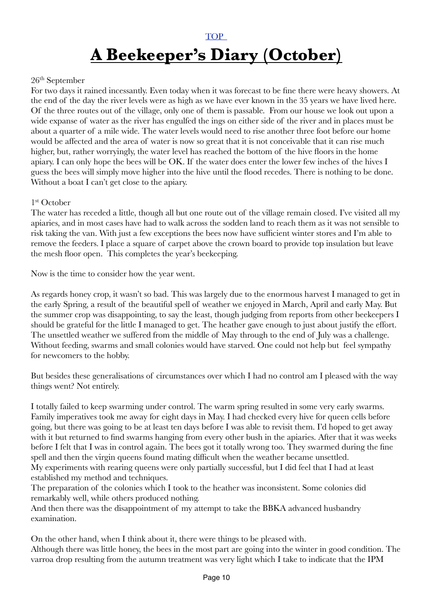## <span id="page-9-0"></span>[TOP](#page-0-0)  **A Beekeeper's Diary (October)**

## 26th September

For two days it rained incessantly. Even today when it was forecast to be fine there were heavy showers. At the end of the day the river levels were as high as we have ever known in the 35 years we have lived here. Of the three routes out of the village, only one of them is passable. From our house we look out upon a wide expanse of water as the river has engulfed the ings on either side of the river and in places must be about a quarter of a mile wide. The water levels would need to rise another three foot before our home would be affected and the area of water is now so great that it is not conceivable that it can rise much higher, but, rather worryingly, the water level has reached the bottom of the hive floors in the home apiary. I can only hope the bees will be OK. If the water does enter the lower few inches of the hives I guess the bees will simply move higher into the hive until the flood recedes. There is nothing to be done. Without a boat I can't get close to the apiary.

## 1st October

The water has receded a little, though all but one route out of the village remain closed. I've visited all my apiaries, and in most cases have had to walk across the sodden land to reach them as it was not sensible to risk taking the van. With just a few exceptions the bees now have sufficient winter stores and I'm able to remove the feeders. I place a square of carpet above the crown board to provide top insulation but leave the mesh floor open. This completes the year's beekeeping.

Now is the time to consider how the year went.

As regards honey crop, it wasn't so bad. This was largely due to the enormous harvest I managed to get in the early Spring, a result of the beautiful spell of weather we enjoyed in March, April and early May. But the summer crop was disappointing, to say the least, though judging from reports from other beekeepers I should be grateful for the little I managed to get. The heather gave enough to just about justify the effort. The unsettled weather we suffered from the middle of May through to the end of July was a challenge. Without feeding, swarms and small colonies would have starved. One could not help but feel sympathy for newcomers to the hobby.

But besides these generalisations of circumstances over which I had no control am I pleased with the way things went? Not entirely.

I totally failed to keep swarming under control. The warm spring resulted in some very early swarms. Family imperatives took me away for eight days in May. I had checked every hive for queen cells before going, but there was going to be at least ten days before I was able to revisit them. I'd hoped to get away with it but returned to find swarms hanging from every other bush in the apiaries. After that it was weeks before I felt that I was in control again. The bees got it totally wrong too. They swarmed during the fine spell and then the virgin queens found mating difficult when the weather became unsettled. My experiments with rearing queens were only partially successful, but I did feel that I had at least established my method and techniques.

The preparation of the colonies which I took to the heather was inconsistent. Some colonies did remarkably well, while others produced nothing.

And then there was the disappointment of my attempt to take the BBKA advanced husbandry examination.

On the other hand, when I think about it, there were things to be pleased with. Although there was little honey, the bees in the most part are going into the winter in good condition. The varroa drop resulting from the autumn treatment was very light which I take to indicate that the IPM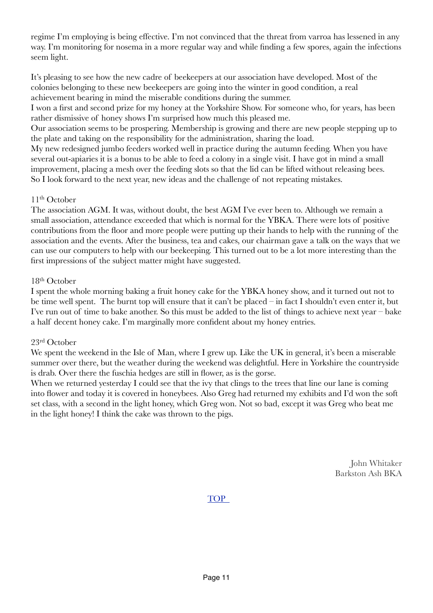regime I'm employing is being effective. I'm not convinced that the threat from varroa has lessened in any way. I'm monitoring for nosema in a more regular way and while finding a few spores, again the infections seem light.

It's pleasing to see how the new cadre of beekeepers at our association have developed. Most of the colonies belonging to these new beekeepers are going into the winter in good condition, a real achievement bearing in mind the miserable conditions during the summer.

I won a first and second prize for my honey at the Yorkshire Show. For someone who, for years, has been rather dismissive of honey shows I'm surprised how much this pleased me.

Our association seems to be prospering. Membership is growing and there are new people stepping up to the plate and taking on the responsibility for the administration, sharing the load.

My new redesigned jumbo feeders worked well in practice during the autumn feeding. When you have several out-apiaries it is a bonus to be able to feed a colony in a single visit. I have got in mind a small improvement, placing a mesh over the feeding slots so that the lid can be lifted without releasing bees. So I look forward to the next year, new ideas and the challenge of not repeating mistakes.

## $11<sup>th</sup>$  October

The association AGM. It was, without doubt, the best AGM I've ever been to. Although we remain a small association, attendance exceeded that which is normal for the YBKA. There were lots of positive contributions from the floor and more people were putting up their hands to help with the running of the association and the events. After the business, tea and cakes, our chairman gave a talk on the ways that we can use our computers to help with our beekeeping. This turned out to be a lot more interesting than the first impressions of the subject matter might have suggested.

## 18th October

I spent the whole morning baking a fruit honey cake for the YBKA honey show, and it turned out not to be time well spent. The burnt top will ensure that it can't be placed – in fact I shouldn't even enter it, but I've run out of time to bake another. So this must be added to the list of things to achieve next year – bake a half decent honey cake. I'm marginally more confident about my honey entries.

## 23rd October

We spent the weekend in the Isle of Man, where I grew up. Like the UK in general, it's been a miserable summer over there, but the weather during the weekend was delightful. Here in Yorkshire the countryside is drab. Over there the fuschia hedges are still in flower, as is the gorse.

When we returned yesterday I could see that the ivy that clings to the trees that line our lane is coming into flower and today it is covered in honeybees. Also Greg had returned my exhibits and I'd won the soft set class, with a second in the light honey, which Greg won. Not so bad, except it was Greg who beat me in the light honey! I think the cake was thrown to the pigs.

> John Whitaker Barkston Ash BKA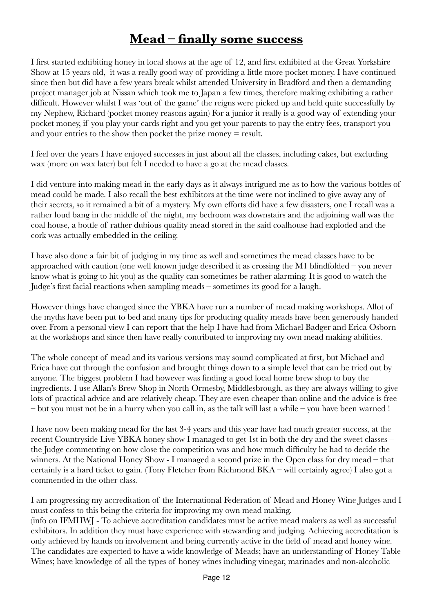## <span id="page-11-0"></span>**Mead – finally some success**

I first started exhibiting honey in local shows at the age of 12, and first exhibited at the Great Yorkshire Show at 15 years old, it was a really good way of providing a little more pocket money. I have continued since then but did have a few years break whilst attended University in Bradford and then a demanding project manager job at Nissan which took me to Japan a few times, therefore making exhibiting a rather difficult. However whilst I was 'out of the game' the reigns were picked up and held quite successfully by my Nephew, Richard (pocket money reasons again) For a junior it really is a good way of extending your pocket money, if you play your cards right and you get your parents to pay the entry fees, transport you and your entries to the show then pocket the prize money = result.

I feel over the years I have enjoyed successes in just about all the classes, including cakes, but excluding wax (more on wax later) but felt I needed to have a go at the mead classes.

I did venture into making mead in the early days as it always intrigued me as to how the various bottles of mead could be made. I also recall the best exhibitors at the time were not inclined to give away any of their secrets, so it remained a bit of a mystery. My own efforts did have a few disasters, one I recall was a rather loud bang in the middle of the night, my bedroom was downstairs and the adjoining wall was the coal house, a bottle of rather dubious quality mead stored in the said coalhouse had exploded and the cork was actually embedded in the ceiling.

I have also done a fair bit of judging in my time as well and sometimes the mead classes have to be approached with caution (one well known judge described it as crossing the M1 blindfolded – you never know what is going to hit you) as the quality can sometimes be rather alarming. It is good to watch the Judge's first facial reactions when sampling meads – sometimes its good for a laugh.

However things have changed since the YBKA have run a number of mead making workshops. Allot of the myths have been put to bed and many tips for producing quality meads have been generously handed over. From a personal view I can report that the help I have had from Michael Badger and Erica Osborn at the workshops and since then have really contributed to improving my own mead making abilities.

The whole concept of mead and its various versions may sound complicated at first, but Michael and Erica have cut through the confusion and brought things down to a simple level that can be tried out by anyone. The biggest problem I had however was finding a good local home brew shop to buy the ingredients. I use Allan's Brew Shop in North Ormesby, Middlesbrough, as they are always willing to give lots of practical advice and are relatively cheap. They are even cheaper than online and the advice is free – but you must not be in a hurry when you call in, as the talk will last a while – you have been warned !

I have now been making mead for the last 3-4 years and this year have had much greater success, at the recent Countryside Live YBKA honey show I managed to get 1st in both the dry and the sweet classes – the Judge commenting on how close the competition was and how much difficulty he had to decide the winners. At the National Honey Show - I managed a second prize in the Open class for dry mead – that certainly is a hard ticket to gain. (Tony Fletcher from Richmond BKA – will certainly agree) I also got a commended in the other class.

I am progressing my accreditation of the International Federation of Mead and Honey Wine Judges and I must confess to this being the criteria for improving my own mead making. (info on IFMHWJ - To achieve accreditation candidates must be active mead makers as well as successful exhibitors. In addition they must have experience with stewarding and judging. Achieving accreditation is only achieved by hands on involvement and being currently active in the field of mead and honey wine. The candidates are expected to have a wide knowledge of Meads; have an understanding of Honey Table Wines; have knowledge of all the types of honey wines including vinegar, marinades and non-alcoholic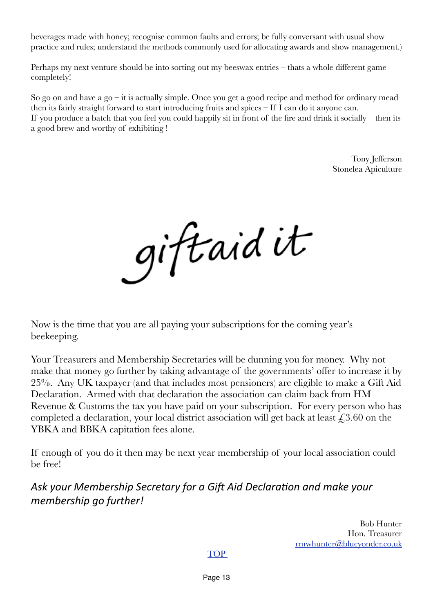beverages made with honey; recognise common faults and errors; be fully conversant with usual show practice and rules; understand the methods commonly used for allocating awards and show management.)

Perhaps my next venture should be into sorting out my beeswax entries – thats a whole different game completely!

So go on and have a go – it is actually simple. Once you get a good recipe and method for ordinary mead then its fairly straight forward to start introducing fruits and spices – If I can do it anyone can. If you produce a batch that you feel you could happily sit in front of the fire and drink it socially – then its a good brew and worthy of exhibiting !

> Tony Jefferson Stonelea Apiculture

giftaid it

<span id="page-12-0"></span>Now is the time that you are all paying your subscriptions for the coming year's beekeeping.

Your Treasurers and Membership Secretaries will be dunning you for money. Why not make that money go further by taking advantage of the governments' offer to increase it by 25%. Any UK taxpayer (and that includes most pensioners) are eligible to make a Gift Aid Declaration. Armed with that declaration the association can claim back from HM Revenue & Customs the tax you have paid on your subscription. For every person who has completed a declaration, your local district association will get back at least  $\epsilon$ , 3.60 on the YBKA and BBKA capitation fees alone.

If enough of you do it then may be next year membership of your local association could be free!

Ask your Membership Secretary for a Gift Aid Declaration and make your *membership* ao further!

> Bob Hunter Hon. Treasurer [rmwhunter@blueyonder.co.uk](mailto:rmwhunter@blueyonder.co.uk)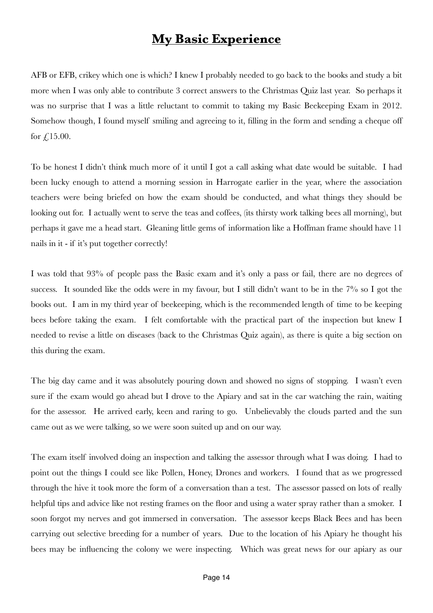## <span id="page-13-0"></span>**My Basic Experience**

AFB or EFB, crikey which one is which? I knew I probably needed to go back to the books and study a bit more when I was only able to contribute 3 correct answers to the Christmas Quiz last year. So perhaps it was no surprise that I was a little reluctant to commit to taking my Basic Beekeeping Exam in 2012. Somehow though, I found myself smiling and agreeing to it, filling in the form and sending a cheque off for  $£15.00.$ 

To be honest I didn't think much more of it until I got a call asking what date would be suitable. I had been lucky enough to attend a morning session in Harrogate earlier in the year, where the association teachers were being briefed on how the exam should be conducted, and what things they should be looking out for. I actually went to serve the teas and coffees, (its thirsty work talking bees all morning), but perhaps it gave me a head start. Gleaning little gems of information like a Hoffman frame should have 11 nails in it - if it's put together correctly!

I was told that 93% of people pass the Basic exam and it's only a pass or fail, there are no degrees of success. It sounded like the odds were in my favour, but I still didn't want to be in the 7% so I got the books out. I am in my third year of beekeeping, which is the recommended length of time to be keeping bees before taking the exam. I felt comfortable with the practical part of the inspection but knew I needed to revise a little on diseases (back to the Christmas Quiz again), as there is quite a big section on this during the exam.

The big day came and it was absolutely pouring down and showed no signs of stopping. I wasn't even sure if the exam would go ahead but I drove to the Apiary and sat in the car watching the rain, waiting for the assessor. He arrived early, keen and raring to go. Unbelievably the clouds parted and the sun came out as we were talking, so we were soon suited up and on our way.

The exam itself involved doing an inspection and talking the assessor through what I was doing. I had to point out the things I could see like Pollen, Honey, Drones and workers. I found that as we progressed through the hive it took more the form of a conversation than a test. The assessor passed on lots of really helpful tips and advice like not resting frames on the floor and using a water spray rather than a smoker. I soon forgot my nerves and got immersed in conversation. The assessor keeps Black Bees and has been carrying out selective breeding for a number of years. Due to the location of his Apiary he thought his bees may be influencing the colony we were inspecting. Which was great news for our apiary as our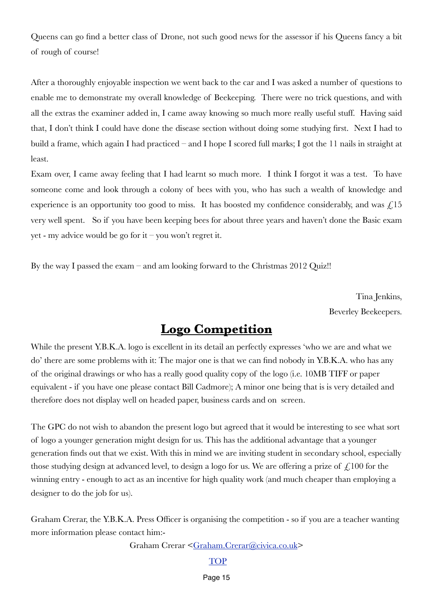Queens can go find a better class of Drone, not such good news for the assessor if his Queens fancy a bit of rough of course!

After a thoroughly enjoyable inspection we went back to the car and I was asked a number of questions to enable me to demonstrate my overall knowledge of Beekeeping. There were no trick questions, and with all the extras the examiner added in, I came away knowing so much more really useful stuff. Having said that, I don't think I could have done the disease section without doing some studying first. Next I had to build a frame, which again I had practiced – and I hope I scored full marks; I got the 11 nails in straight at least.

Exam over, I came away feeling that I had learnt so much more. I think I forgot it was a test. To have someone come and look through a colony of bees with you, who has such a wealth of knowledge and experience is an opportunity too good to miss. It has boosted my confidence considerably, and was  $f<sub>i</sub>15$ very well spent. So if you have been keeping bees for about three years and haven't done the Basic exam yet - my advice would be go for it – you won't regret it.

By the way I passed the exam – and am looking forward to the Christmas 2012 Quiz!!

Tina Jenkins, Beverley Beekeepers.

## <span id="page-14-0"></span>**Logo Competition**

While the present Y.B.K.A. logo is excellent in its detail an perfectly expresses 'who we are and what we do' there are some problems with it: The major one is that we can find nobody in Y.B.K.A. who has any of the original drawings or who has a really good quality copy of the logo (i.e. 10MB TIFF or paper equivalent - if you have one please contact Bill Cadmore); A minor one being that is is very detailed and therefore does not display well on headed paper, business cards and on screen.

The GPC do not wish to abandon the present logo but agreed that it would be interesting to see what sort of logo a younger generation might design for us. This has the additional advantage that a younger generation finds out that we exist. With this in mind we are inviting student in secondary school, especially those studying design at advanced level, to design a logo for us. We are offering a prize of  $\mathcal{L}100$  for the winning entry - enough to act as an incentive for high quality work (and much cheaper than employing a designer to do the job for us).

Graham Crerar, the Y.B.K.A. Press Officer is organising the competition - so if you are a teacher wanting more information please contact him:-

Graham Crerar [<Graham.Crerar@civica.co.uk>](mailto:Graham.Crerar@civica.co.uk)

## **[TOP](#page-0-0)**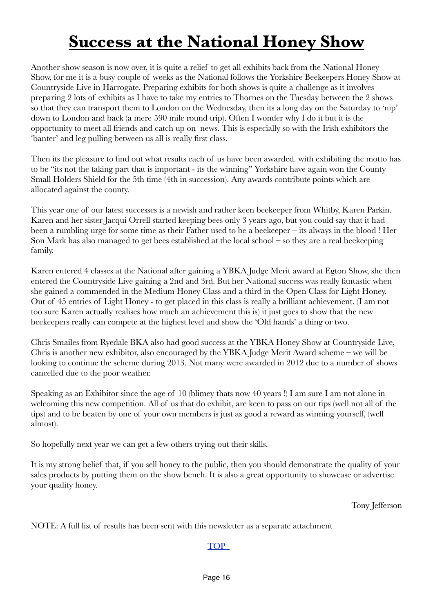# <span id="page-15-0"></span>**Success at the National Honey Show**

Another show season is now over, it is quite a relief to get all exhibits back from the National Honey Show, for me it is a busy couple of weeks as the National follows the Yorkshire Beekeepers Honey Show at Countryside Live in Harrogate. Preparing exhibits for both shows is quite a challenge as it involves preparing 2 lots of exhibits as I have to take my entries to Thornes on the Tuesday between the 2 shows so that they can transport them to London on the Wednesday, then its a long day on the Saturday to 'nip' down to London and back (a mere 590 mile round trip). Often I wonder why I do it but it is the opportunity to meet all friends and catch up on news. This is especially so with the Irish exhibitors the 'banter' and leg pulling between us all is really first class.

Then its the pleasure to find out what results each of us have been awarded. with exhibiting the motto has to be "its not the taking part that is important - its the winning" Yorkshire have again won the County Small Holders Shield for the 5th time (4th in succession). Any awards contribute points which are allocated against the county.

This year one of our latest successes is a newish and rather keen beekeeper from Whitby, Karen Parkin. Karen and her sister Jacqui Orrell started keeping bees only 3 years ago, but you could say that it had been a rumbling urge for some time as their Father used to be a beekeeper – its always in the blood ! Her Son Mark has also managed to get bees established at the local school – so they are a real beekeeping family.

Karen entered 4 classes at the National after gaining a YBKA Judge Merit award at Egton Show, she then entered the Countryside Live gaining a 2nd and 3rd. But her National success was really fantastic when she gained a commended in the Medium Honey Class and a third in the Open Class for Light Honey. Out of 45 entries of Light Honey - to get placed in this class is really a brilliant achievement. (I am not too sure Karen actually realises how much an achievement this is) it just goes to show that the new beekeepers really can compete at the highest level and show the 'Old hands' a thing or two.

Chris Smailes from Ryedale BKA also had good success at the YBKA Honey Show at Countryside Live, Chris is another new exhibitor, also encouraged by the YBKA Judge Merit Award scheme – we will be looking to continue the scheme during 2013. Not many were awarded in 2012 due to a number of shows cancelled due to the poor weather.

Speaking as an Exhibitor since the age of 10 (blimey thats now 40 years !) I am sure I am not alone in welcoming this new competition. All of us that do exhibit, are keen to pass on our tips (well not all of the tips) and to be beaten by one of your own members is just as good a reward as winning yourself, (well almost).

So hopefully next year we can get a few others trying out their skills.

It is my strong belief that, if you sell honey to the public, then you should demonstrate the quality of your sales products by putting them on the show bench. It is also a great opportunity to showcase or advertise your quality honey.

Tony Jefferson

NOTE: A full list of results has been sent with this newsletter as a separate attachment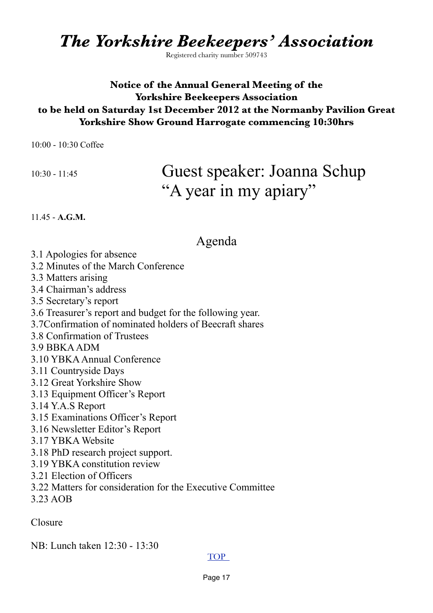*The Yorkshire Beekeepers' Association*

Registered charity number 509743

## **Notice of the Annual General Meeting of the Yorkshire Beekeepers Association to be held on Saturday 1st December 2012 at the Normanby Pavilion Great Yorkshire Show Ground Harrogate commencing 10:30hrs**

10:00 - 10:30 Coffee

## 10:30 - 11:45 Guest speaker: Joanna Schup "A year in my apiary"

11.45 - **A.G.M.**

## <span id="page-16-0"></span>Agenda

- 3.1 Apologies for absence
- 3.2 Minutes of the March Conference
- 3.3 Matters arising
- 3.4 Chairman's address
- 3.5 Secretary's report
- 3.6 Treasurer's report and budget for the following year.
- 3.7Confirmation of nominated holders of Beecraft shares
- 3.8 Confirmation of Trustees
- 3.9 BBKA ADM
- 3.10 YBKA Annual Conference
- 3.11 Countryside Days
- 3.12 Great Yorkshire Show
- 3.13 Equipment Officer's Report
- 3.14 Y.A.S Report
- 3.15 Examinations Officer's Report
- 3.16 Newsletter Editor's Report
- 3.17 YBKA Website
- 3.18 PhD research project support.
- 3.19 YBKA constitution review
- 3.21 Election of Officers
- 3.22 Matters for consideration for the Executive Committee
- 3.23 AOB

Closure

NB: Lunch taken 12:30 - 13:30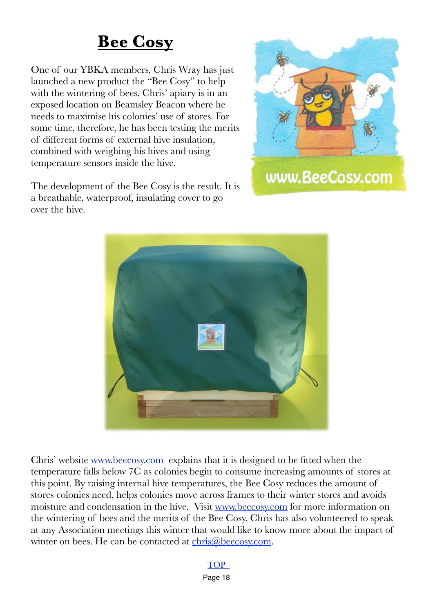# <span id="page-17-0"></span>**Bee Cosy**

One of our YBKA members, Chris Wray has just launched a new product the "Bee Cosy" to help with the wintering of bees. Chris' apiary is in an exposed location on Beamsley Beacon where he needs to maximise his colonies' use of stores. For some time, therefore, he has been testing the merits of different forms of external hive insulation, combined with weighing his hives and using temperature sensors inside the hive.

The development of the Bee Cosy is the result. It is a breathable, waterproof, insulating cover to go over the hive.





Chris' website [www.beecosy.com](http://www.beecosy.com/) explains that it is designed to be fitted when the temperature falls below 7C as colonies begin to consume increasing amounts of stores at this point. By raising internal hive temperatures, the Bee Cosy reduces the amount of stores colonies need, helps colonies move across frames to their winter stores and avoids moisture and condensation in the hive. Visit [www.beecosy.com](http://www.beecosy.com/) for more information on the wintering of bees and the merits of the Bee Cosy. Chris has also volunteered to speak at any Association meetings this winter that would like to know more about the impact of winter on bees. He can be contacted at [chris@beecosy.com.](mailto:chris@beecosy.com)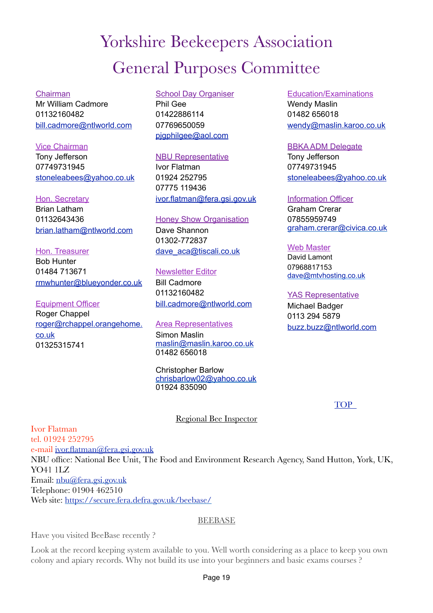# <span id="page-18-0"></span>Yorkshire Beekeepers Association General Purposes Committee

#### Chairman

Mr William Cadmore 01132160482 [bill.cadmore@ntlworld.com](mailto:bill.cadmore@ntlworld.com)

#### Vice Chairman

Tony Jefferson 07749731945 [stoneleabees@yahoo.co.uk](mailto:stoneleabees@yahoo.co.uk)

#### Hon. Secretary

Brian Latham 01132643436 [brian.latham@ntlworld.com](mailto:brian.latham@ntlworld.com)

#### Hon. Treasurer

Bob Hunter 01484 713671 [rmwhunter@blueyonder.co.uk](mailto:rmwhunter@blueyonder.co.uk?subject=)

Equipment Officer Roger Chappel [roger@rchappel.orangehome.](mailto:roger@rchappel.orangehome.co.uk) [co.uk](mailto:roger@rchappel.orangehome.co.uk) 01325315741

## School Day Organiser Phil Gee 01422886114 07769650059 pigphilgee@aol.com

## NBU Representative

Ivor Flatman 01924 252795 07775 119436 [ivor.flatman@fera.gsi.gov.uk](mailto:ivor.flatman@fera.gsi.gov.uk)

#### **Honey Show Organisation**

Dave Shannon 01302-772837 [dave\\_aca@tiscali.co.uk](mailto:dave_aca@tiscali.co.uk)

#### Newsletter Editor

Bill Cadmore 01132160482 [bill.cadmore@ntlworld.com](mailto:bill.cadmore@ntlworld.com)

#### Area Representatives

Simon Maslin [maslin@maslin.karoo.co.uk](mailto:maslin@maslin.Karoo.co.uk) 01482 656018

#### Christopher Barlow [chrisbarlow02@yahoo.co.uk](mailto:chrisbarlow02@yahoo.co.uk) 01924 835090

Education/Examinations Wendy Maslin 01482 656018 [wendy@maslin.karoo.co.uk](mailto:wendy@maslin.karoo.co.uk)

#### BBKA ADM Delegate

Tony Jefferson 07749731945 [stoneleabees@yahoo.co.uk](mailto:stoneleabees@yahoo.co.uk)

#### Information Officer

Graham Crerar 07855959749 [graham.crerar@civica.co.uk](mailto:graham.crerar@civica.co.uk)

#### Web Master

David Lamont 07968817153 [dave@mtvhosting.co.uk](mailto:dave@mtvhosting.co.uk)

## YAS Representative

Michael Badger 0113 294 5879 [buzz.buzz@ntlworld.com](mailto:buzz.buzz@ntlworld.com)

**TOP** 

## Regional Bee Inspector

Ivor Flatman tel. 01924 252795 e-mail [ivor.flatman@fera.gsi.gov.uk](mailto:ivor.flatman@fera.gsi.gov.uk) NBU office: National Bee Unit, The Food and Environment Research Agency, Sand Hutton, York, UK, YO41 1LZ Email: [nbu@fera.gsi.gov.uk](mailto:nbu@fera.gsi.gov.uk) Telephone: 01904 462510 Web site:<https://secure.fera.defra.gov.uk/beebase/>

## **BEEBASE**

Have you visited BeeBase recently ?

Look at the record keeping system available to you. Well worth considering as a place to keep you own colony and apiary records. Why not build its use into your beginners and basic exams courses ?